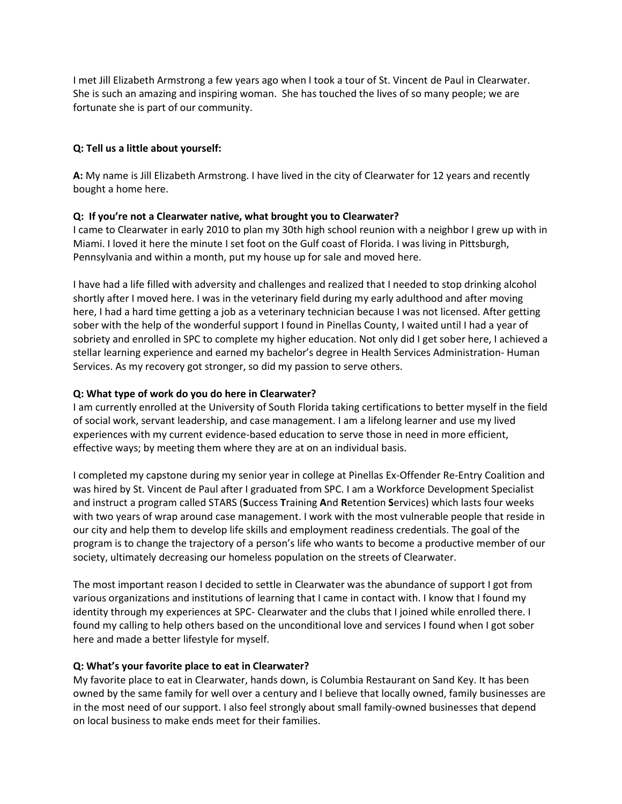I met Jill Elizabeth Armstrong a few years ago when I took a tour of St. Vincent de Paul in Clearwater. She is such an amazing and inspiring woman. She has touched the lives of so many people; we are fortunate she is part of our community.

#### **Q: Tell us a little about yourself:**

**A:** My name is Jill Elizabeth Armstrong. I have lived in the city of Clearwater for 12 years and recently bought a home here.

### **Q: If you're not a Clearwater native, what brought you to Clearwater?**

I came to Clearwater in early 2010 to plan my 30th high school reunion with a neighbor I grew up with in Miami. I loved it here the minute I set foot on the Gulf coast of Florida. I was living in Pittsburgh, Pennsylvania and within a month, put my house up for sale and moved here.

I have had a life filled with adversity and challenges and realized that I needed to stop drinking alcohol shortly after I moved here. I was in the veterinary field during my early adulthood and after moving here, I had a hard time getting a job as a veterinary technician because I was not licensed. After getting sober with the help of the wonderful support I found in Pinellas County, I waited until I had a year of sobriety and enrolled in SPC to complete my higher education. Not only did I get sober here, I achieved a stellar learning experience and earned my bachelor's degree in Health Services Administration- Human Services. As my recovery got stronger, so did my passion to serve others.

### **Q: What type of work do you do here in Clearwater?**

I am currently enrolled at the University of South Florida taking certifications to better myself in the field of social work, servant leadership, and case management. I am a lifelong learner and use my lived experiences with my current evidence-based education to serve those in need in more efficient, effective ways; by meeting them where they are at on an individual basis.

I completed my capstone during my senior year in college at Pinellas Ex-Offender Re-Entry Coalition and was hired by St. Vincent de Paul after I graduated from SPC. I am a Workforce Development Specialist and instruct a program called STARS (**S**uccess **T**raining **A**nd **R**etention **S**ervices) which lasts four weeks with two years of wrap around case management. I work with the most vulnerable people that reside in our city and help them to develop life skills and employment readiness credentials. The goal of the program is to change the trajectory of a person's life who wants to become a productive member of our society, ultimately decreasing our homeless population on the streets of Clearwater.

The most important reason I decided to settle in Clearwater was the abundance of support I got from various organizations and institutions of learning that I came in contact with. I know that I found my identity through my experiences at SPC- Clearwater and the clubs that I joined while enrolled there. I found my calling to help others based on the unconditional love and services I found when I got sober here and made a better lifestyle for myself.

#### **Q: What's your favorite place to eat in Clearwater?**

My favorite place to eat in Clearwater, hands down, is Columbia Restaurant on Sand Key. It has been owned by the same family for well over a century and I believe that locally owned, family businesses are in the most need of our support. I also feel strongly about small family-owned businesses that depend on local business to make ends meet for their families.